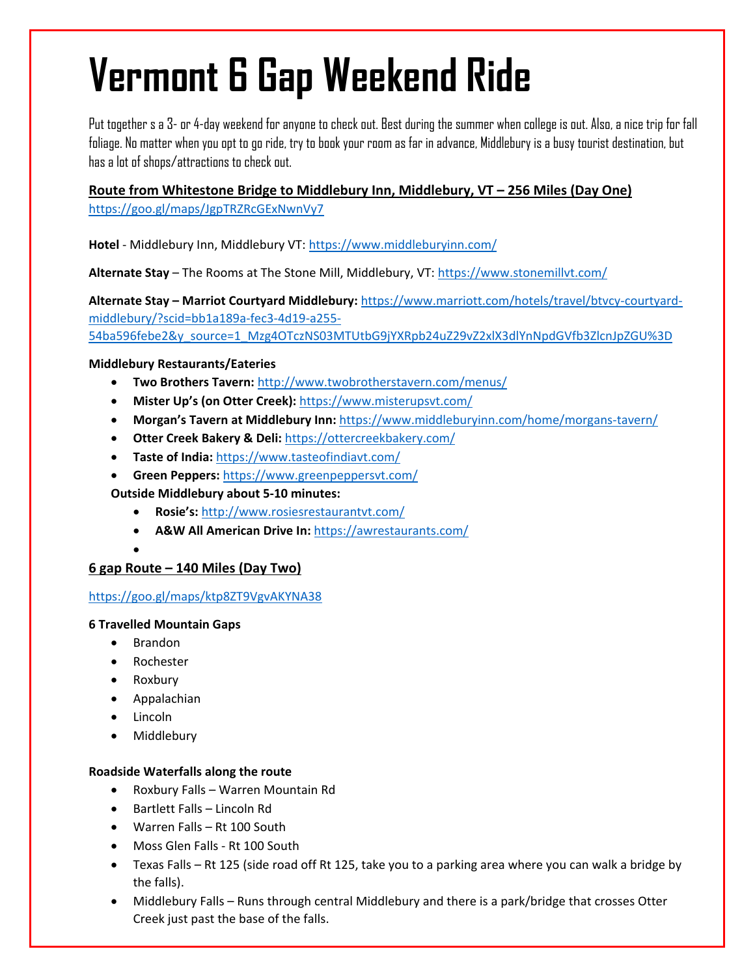# **Vermont 6 Gap Weekend Ride**

Put together s a 3- or 4-day weekend for anyone to check out. Best during the summer when college is out. Also, a nice trip for fall foliage. No matter when you opt to go ride, try to book your room as far in advance, Middlebury is a busy tourist destination, but has a lot of shops/attractions to check out.

**Route from Whitestone Bridge to Middlebury Inn, Middlebury, VT – 256 Miles (Day One)** https://goo.gl/maps/JgpTRZRcGExNwnVy7

**Hotel** ‐ Middlebury Inn, Middlebury VT: https://www.middleburyinn.com/

**Alternate Stay** – The Rooms at The Stone Mill, Middlebury, VT: https://www.stonemillvt.com/

**Alternate Stay – Marriot Courtyard Middlebury:** https://www.marriott.com/hotels/travel/btvcy‐courtyard‐ middlebury/?scid=bb1a189a‐fec3‐4d19‐a255‐ 54ba596febe2&y\_source=1\_Mzg4OTczNS03MTUtbG9jYXRpb24uZ29vZ2xlX3dlYnNpdGVfb3ZlcnJpZGU%3D

# **Middlebury Restaurants/Eateries**

- **Two Brothers Tavern:** http://www.twobrotherstavern.com/menus/
- **Mister Up's (on Otter Creek):** https://www.misterupsvt.com/
- **Morgan's Tavern at Middlebury Inn:** https://www.middleburyinn.com/home/morgans‐tavern/
- **Otter Creek Bakery & Deli:** https://ottercreekbakery.com/
- **Taste of India:** https://www.tasteofindiavt.com/
- **Green Peppers:** https://www.greenpeppersvt.com/

**Outside Middlebury about 5‐10 minutes:**

- **Rosie's:** http://www.rosiesrestaurantvt.com/
- **A&W All American Drive In:** https://awrestaurants.com/

# **6 gap Route – 140 Miles (Day Two)**

### https://goo.gl/maps/ktp8ZT9VgvAKYNA38

### **6 Travelled Mountain Gaps**

• Brandon

 $\bullet$ 

- Rochester
- Roxbury
- Appalachian
- Lincoln
- Middlebury

### **Roadside Waterfalls along the route**

- Roxbury Falls Warren Mountain Rd
- Bartlett Falls Lincoln Rd
- Warren Falls Rt 100 South
- Moss Glen Falls Rt 100 South
- Texas Falls Rt 125 (side road off Rt 125, take you to a parking area where you can walk a bridge by the falls).
- Middlebury Falls Runs through central Middlebury and there is a park/bridge that crosses Otter Creek just past the base of the falls.